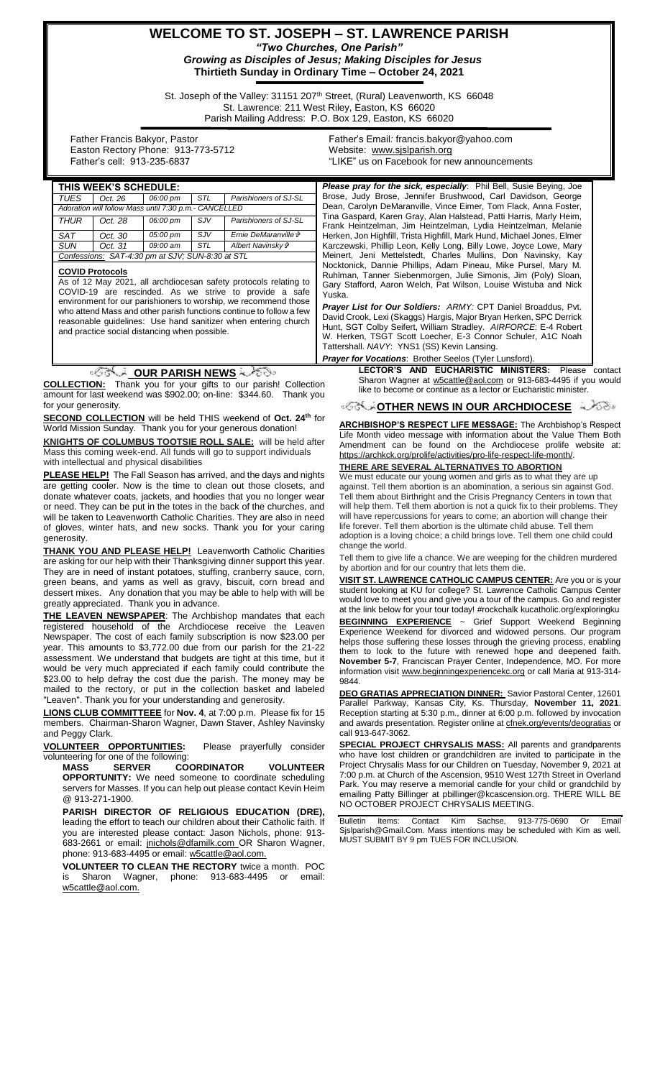# **WELCOME TO ST. JOSEPH – ST. LAWRENCE PARISH** *"Two Churches, One Parish" Growing as Disciples of Jesus; Making Disciples for Jesus*

**Thirtieth Sunday in Ordinary Time – October 24, 2021**

St. Joseph of the Valley: 31151 207<sup>th</sup> Street, (Rural) Leavenworth, KS 66048 St. Lawrence: 211 West Riley, Easton, KS 66020 Parish Mailing Address: P.O. Box 129, Easton, KS 66020

 Father Francis Bakyor, Pastor Easton Rectory Phone: 913-773-5712 Father's cell: 913-235-6837

Father's Email*:* francis.bakyor@yahoo.com Website: [www.sjslparish.org](http://www.sjslparish.org/) "LIKE" us on Facebook for new announcements

| THIS WEEK'S SUHEDULE:                                 |         |          |            |                       |
|-------------------------------------------------------|---------|----------|------------|-----------------------|
| TUES.                                                 | Oct. 26 | 06:00 pm | STL        | Parishioners of SJ-SL |
| Adoration will follow Mass until 7:30 p.m.- CANCELLED |         |          |            |                       |
| THUR                                                  | Oct. 28 | 06:00 pm | <b>SJV</b> | Parishioners of SJ-SL |
| <b>SAT</b>                                            | Oct. 30 | 05:00 pm | $S_{.}$ IV | Ernie DeMaranville &  |
| <b>SUN</b>                                            | Oct. 31 | 09:00 am | STL        | Albert Navinsky &     |
| Confessions: SAT-4:30 pm at SJV; SUN-8:30 at STL      |         |          |            |                       |
|                                                       |         |          |            |                       |

#### **COVID Protocols**

As of 12 May 2021, all archdiocesan safety protocols relating to COVID-19 are rescinded. As we strive to provide a safe environment for our parishioners to worship, we recommend those who attend Mass and other parish functions continue to follow a few reasonable guidelines: Use hand sanitizer when entering church and practice social distancing when possible.

## **OUR PARISH NEWS**

**COLLECTION:** Thank you for your gifts to our parish! Collection amount for last weekend was \$902.00; on-line: \$344.60. Thank you for your generosity.

**SECOND COLLECTION** will be held THIS weekend of **Oct. 24th** for World Mission Sunday. Thank you for your generous donation!

**KNIGHTS OF COLUMBUS TOOTSIE ROLL SALE:** will be held after Mass this coming week-end. All funds will go to support individuals with intellectual and physical disabilities

**PLEASE HELP!** The Fall Season has arrived, and the days and nights are getting cooler. Now is the time to clean out those closets, and donate whatever coats, jackets, and hoodies that you no longer wear or need. They can be put in the totes in the back of the churches, and will be taken to Leavenworth Catholic Charities. They are also in need of gloves, winter hats, and new socks. Thank you for your caring generosity.

**THANK YOU AND PLEASE HELP!** Leavenworth Catholic Charities are asking for our help with their Thanksgiving dinner support this year. They are in need of instant potatoes, stuffing, cranberry sauce, corn, green beans, and yams as well as gravy, biscuit, corn bread and dessert mixes. Any donation that you may be able to help with will be greatly appreciated. Thank you in advance.

**THE LEAVEN NEWSPAPER**: The Archbishop mandates that each registered household of the Archdiocese receive the Leaven Newspaper. The cost of each family subscription is now \$23.00 per year. This amounts to \$3,772.00 due from our parish for the 21-22 assessment. We understand that budgets are tight at this time, but it would be very much appreciated if each family could contribute the \$23.00 to help defray the cost due the parish. The money may be mailed to the rectory, or put in the collection basket and labeled "Leaven". Thank you for your understanding and generosity.

**LIONS CLUB COMMITTEEE** for **Nov. 4**, at 7:00 p.m. Please fix for 15 members. Chairman-Sharon Wagner, Dawn Staver, Ashley Navinsky and Peggy Clark.

**VOLUNTEER OPPORTUNITIES:** Please prayerfully consider volunteering for one of the following:

**MASS SERVER COORDINATOR VOLUNTEER OPPORTUNITY:** We need someone to coordinate scheduling servers for Masses. If you can help out please contact Kevin Heim @ 913-271-1900.

**PARISH DIRECTOR OF RELIGIOUS EDUCATION (DRE),** leading the effort to teach our children about their Catholic faith. If you are interested please contact: Jason Nichols, phone: 913 683-2661 or email: [jnichols@dfamilk.com](mailto:jnichols@dfamilk.com)\_OR Sharon Wagner, phone: 913-683-4495 or email: [w5cattle@aol.com.](mailto:w5cattle@aol.com)

**VOLUNTEER TO CLEAN THE RECTORY** twice a month. POC Sharon Wagner, phone: 913-683-4495 or email: [w5cattle@aol.com.](mailto:w5cattle@aol.com)

**THIS SCHEDULE: This Please pray for the sick, especially**: Phil Bell, Susie Beying, Joe Brose, Judy Brose, Jennifer Brushwood, Carl Davidson, George Dean, Carolyn DeMaranville, Vince Eimer, Tom Flack, Anna Foster, Tina Gaspard, Karen Gray, Alan Halstead, Patti Harris, Marly Heim, Frank Heintzelman, Jim Heintzelman, Lydia Heintzelman, Melanie Herken, Jon Highfill, Trista Highfill, Mark Hund, Michael Jones, Elmer Karczewski, Phillip Leon, Kelly Long, Billy Lowe, Joyce Lowe, Mary Meinert, Jeni Mettelstedt, Charles Mullins, Don Navinsky, Kay Nocktonick, Dannie Phillips, Adam Pineau, Mike Pursel, Mary M. Ruhlman, Tanner Siebenmorgen, Julie Simonis, Jim (Poly) Sloan, Gary Stafford, Aaron Welch, Pat Wilson, Louise Wistuba and Nick Yuska.

> *Prayer List for Our Soldiers: ARMY:* CPT Daniel Broaddus, Pvt. David Crook, Lexi (Skaggs) Hargis, Major Bryan Herken, SPC Derrick Hunt, SGT Colby Seifert, William Stradley. *AIRFORCE*: E-4 Robert W. Herken, TSGT Scott Loecher, E-3 Connor Schuler, A1C Noah Tattershall. *NAVY*: YNS1 (SS) Kevin Lansing.

## **Prayer for Vocations: Brother Seelos (Tyler L**

**LECTOR'S AND EUCHARISTIC MINISTERS:** Please contact Sharon Wagner at [w5cattle@aol.com](mailto:w5cattle@aol.com) or 913-683-4495 if you would like to become or continue as a lector or Eucharistic minister.

## **OF SOUR ARCHDIOCESE**

**ARCHBISHOP'S RESPECT LIFE MESSAGE:** The Archbishop's Respect Life Month video message with information about the Value Them Both Amendment can be found on the Archdiocese prolife website at: https://archkck.org/prolife/activities/pro-life-respect-life-month/.

# **THERE ARE SEVERAL ALTERNATIVES TO ABORTION**

We must educate our young women and girls as to what they are up against. Tell them abortion is an abomination, a serious sin against God. Tell them about Birthright and the Crisis Pregnancy Centers in town that will help them. Tell them abortion is not a quick fix to their problems. They will have repercussions for years to come; an abortion will change their life forever. Tell them abortion is the ultimate child abuse. Tell them adoption is a loving choice; a child brings love. Tell them one child could change the world.

Tell them to give life a chance. We are weeping for the children murdered by abortion and for our country that lets them die.

**VISIT ST. LAWRENCE CATHOLIC CAMPUS CENTER:** Are you or is your student looking at KU for college? St. Lawrence Catholic Campus Center would love to meet you and give you a tour of the campus. Go and register at the link below for your tour today! #rockchalk kucatholic.org/exploringku **BEGINNING EXPERIENCE** ~ Grief Support Weekend Beginning Experience Weekend for divorced and widowed persons. Our program helps those suffering these losses through the grieving process, enabling them to look to the future with renewed hope and deepened faith. **November 5-7**, Franciscan Prayer Center, Independence, MO. For more information visit www.beginningexperiencekc.org or call Maria at 913-314- 9844.

**DEO GRATIAS APPRECIATION DINNER:** Savior Pastoral Center, 12601 Parallel Parkway, Kansas City, Ks. Thursday, **November 11, 2021**. Reception starting at 5:30 p.m., dinner at 6:00 p.m. followed by invocation and awards presentation. Register online at [cfnek.org/events/deogratias](http://cfnek.org/events/deogratias) or call 913-647-3062.

**SPECIAL PROJECT CHRYSALIS MASS:** All parents and grandparents who have lost children or grandchildren are invited to participate in the Project Chrysalis Mass for our Children on Tuesday, November 9, 2021 at 7:00 p.m. at Church of the Ascension, 9510 West 127th Street in Overland Park. You may reserve a memorial candle for your child or grandchild by emailing Patty Billinger at pbillinger@kcascension.org. THERE WILL BE NO OCTOBER PROJECT CHRYSALIS MEETING.

Bulletin Items: Contact Kim Sachse, 913-775-0690 Or Email Sjslparish@Gmail.Com. Mass intentions may be scheduled with Kim as well. MUST SUBMIT BY 9 pm TUES FOR INCLUSION.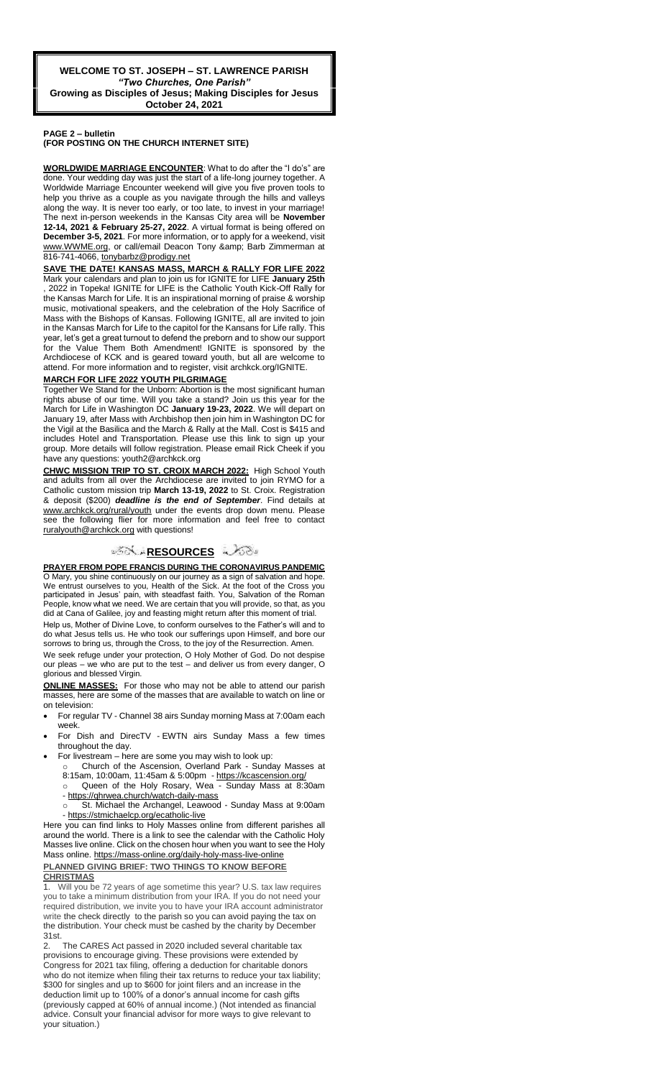#### **PAGE 2 – bulletin (FOR POSTING ON THE CHURCH INTERNET SITE)**

**WORLDWIDE MARRIAGE ENCOUNTER**: What to do after the "I do's" are done. Your wedding day was just the start of a life-long journey together. A Worldwide Marriage Encounter weekend will give you five proven tools to help you thrive as a couple as you navigate through the hills and valleys along the way. It is never too early, or too late, to invest in your marriage! The next in-person weekends in the Kansas City area will be **November 12-14, 2021 & February 25-27, 2022**. A virtual format is being offered on **December 3-5, 2021**. For more information, or to apply for a weekend, visit www.WWME.org, or call/email Deacon Tony & amp; Barb Zimmerman at 816-741-4066, [tonybarbz@prodigy.net](mailto:tonybarbz@prodigy.net)

**SAVE THE DATE! KANSAS MASS, MARCH & RALLY FOR LIFE 2022** 

Mark your calendars and plan to join us for IGNITE for LIFE **January 25th** , 2022 in Topeka! IGNITE for LIFE is the Catholic Youth Kick-Off Rally for the Kansas March for Life. It is an inspirational morning of praise & worship music, motivational speakers, and the celebration of the Holy Sacrifice of Mass with the Bishops of Kansas. Following IGNITE, all are invited to join in the Kansas March for Life to the capitol for the Kansans for Life rally. This year, let's get a great turnout to defend the preborn and to show our support for the Value Them Both Amendment! IGNITE is sponsored by the Archdiocese of KCK and is geared toward youth, but all are welcome to attend. For more information and to register, visit archkck.org/IGNITE.

## **MARCH FOR LIFE 2022 YOUTH PILGRIMAGE**

Together We Stand for the Unborn: Abortion is the most significant human rights abuse of our time. Will you take a stand? Join us this year for the March for Life in Washington DC January 19-23, 2022. We will depart on January 19, after Mass with Archbishop then join him in Washington DC for the Vigil at the Basilica and the March & Rally at the Mall. Cost is \$415 and includes Hotel and Transportation. Please use this link to sign up your group. More details will follow registration. Please email Rick Cheek if you have any questions: youth2@archkck.org

**CHWC MISSION TRIP TO ST. CROIX MARCH 2022:** High School Youth and adults from all over the Archdiocese are invited to join RYMO for a Catholic custom mission trip **March 13-19, 2022** to St. Croix. Registration & deposit (\$200) *deadline is the end of September*. Find details at www.archkck.org/rural/youth under the events drop down menu. Please the following flier for more information and feel free to contact ruralyouth@archkck.org with questions!

## ್**ಗ**ೋ RESOURCES ಎಂ

**PRAYER FROM POPE FRANCIS DURING THE CORONAVIRUS PANDEMIC** O Mary, you shine continuously on our journey as a sign of salvation and hope. We entrust ourselves to you, Health of the Sick. At the foot of the Cross you participated in Jesus' pain, with steadfast faith. You, Salvation of the Roman People, know what we need. We are certain that you will provide, so that, as you did at Cana of Galilee, joy and feasting might return after this moment of trial.

Help us, Mother of Divine Love, to conform ourselves to the Father's will and to do what Jesus tells us. He who took our sufferings upon Himself, and bore our sorrows to bring us, through the Cross, to the joy of the Resurrection. Amen.

We seek refuge under your protection, O Holy Mother of God. Do not despise our pleas – we who are put to the test – and deliver us from every danger, O glorious and blessed Virgin.

**ONLINE MASSES:** For those who may not be able to attend our parish masses, here are some of the masses that are available to watch on line or on television:

- For regular TV Channel 38 airs Sunday morning Mass at 7:00am each week.
- For Dish and DirecTV EWTN airs Sunday Mass a few times throughout the day.
- For livestream here are some you may wish to look up:
- Church of the Ascension, Overland Park Sunday Masses at 8:15am, 10:00am, 11:45am & 5:00pm - <https://kcascension.org/>
	- Queen of the Holy Rosary, Wea Sunday Mass at 8:30am - <https://qhrwea.church/watch-daily-mass>
- o St. Michael the Archangel, Leawood Sunday Mass at 9:00am - <https://stmichaelcp.org/ecatholic-live>

Here you can find links to Holy Masses online from different parishes all around the world. There is a link to see the calendar with the Catholic Holy Masses live online. Click on the chosen hour when you want to see the Holy Mass online[. https://mass-online.org/daily-holy-mass-live-online](https://mass-online.org/daily-holy-mass-live-online) **PLANNED GIVING BRIEF: TWO THINGS TO KNOW BEFORE CHRISTMAS**

Will you be 72 years of age sometime this year? U.S. tax law requires you to take a minimum distribution from your IRA. If you do not need your required distribution, we invite you to have your IRA account administrator write the check directly to the parish so you can avoid paying the tax on the distribution. Your check must be cashed by the charity by December 31st.

2. The CARES Act passed in 2020 included several charitable tax provisions to encourage giving. These provisions were extended by Congress for 2021 tax filing, offering a deduction for charitable donors who do not itemize when filing their tax returns to reduce your tax liability; \$300 for singles and up to \$600 for joint filers and an increase in the deduction limit up to 100% of a donor's annual income for cash gifts (previously capped at 60% of annual income.) (Not intended as financial advice. Consult your financial advisor for more ways to give relevant to your situation.)